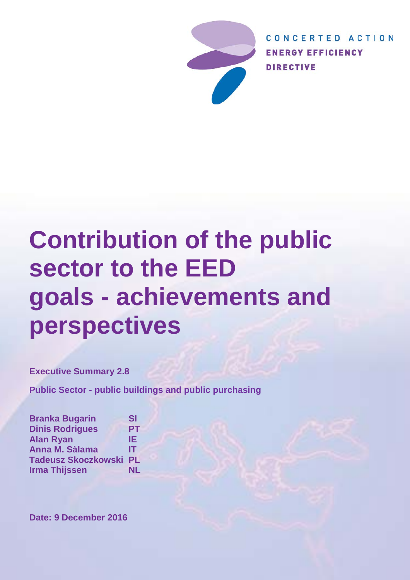

CONCERTED ACTION **ENERGY EFFICIENCY DIRECTIVE** 

# **Contribution of the public sector to the EED goals - achievements and perspectives**

**Executive Summary 2.8**

**Public Sector - public buildings and public purchasing**

**Branka Bugarin SI Dinis Rodrigues PT Alan Ryan IE** Anna M. Sàlama **Tadeusz Skoczkowski PL Irma Thijssen NL**

**Date: 9 December 2016**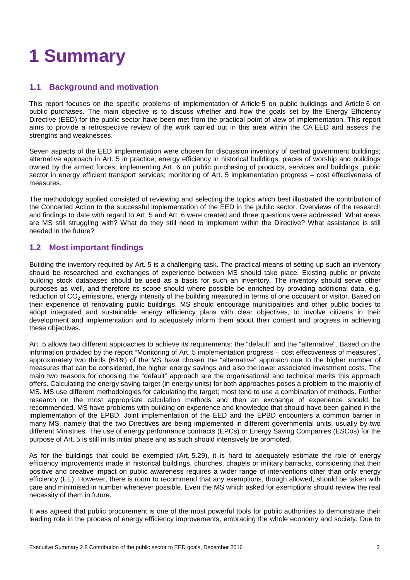# **1 Summary**

### **1.1 Background and motivation**

This report focuses on the specific problems of implementation of Article 5 on public buildings and Article 6 on public purchases. The main objective is to discuss whether and how the goals set by the Energy Efficiency Directive (EED) for the public sector have been met from the practical point of view of implementation. This report aims to provide a retrospective review of the work carried out in this area within the CA EED and assess the strengths and weaknesses.

Seven aspects of the EED implementation were chosen for discussion inventory of central government buildings; alternative approach in Art. 5 in practice; energy efficiency in historical buildings, places of worship and buildings owned by the armed forces; implementing Art. 6 on public purchasing of products, services and buildings; public sector in energy efficient transport services; monitoring of Art. 5 implementation progress – cost effectiveness of measures.

The methodology applied consisted of reviewing and selecting the topics which best illustrated the contribution of the Concerted Action to the successful implementation of the EED in the public sector. Overviews of the research and findings to date with regard to Art. 5 and Art. 6 were created and three questions were addressed: What areas are MS still struggling with? What do they still need to implement within the Directive? What assistance is still needed in the future?

## **1.2 Most important findings**

Building the inventory required by Art. 5 is a challenging task. The practical means of setting up such an inventory should be researched and exchanges of experience between MS should take place. Existing public or private building stock databases should be used as a basis for such an inventory. The inventory should serve other purposes as well, and therefore its scope should where possible be enriched by providing additional data, e.g. reduction of CO<sub>2</sub> emissions, energy intensity of the building measured in terms of one occupant or visitor. Based on their experience of renovating public buildings, MS should encourage municipalities and other public bodies to adopt integrated and sustainable energy efficiency plans with clear objectives, to involve citizens in their development and implementation and to adequately inform them about their content and progress in achieving these objectives.

Art. 5 allows two different approaches to achieve its requirements: the "default" and the "alternative". Based on the information provided by the report "Monitoring of Art. 5 implementation progress – cost effectiveness of measures", approximately two thirds (64%) of the MS have chosen the "alternative" approach due to the higher number of measures that can be considered, the higher energy savings and also the lower associated investment costs. The main two reasons for choosing the "default" approach are the organisational and technical merits this approach offers. Calculating the energy saving target (in energy units) for both approaches poses a problem to the majority of MS. MS use different methodologies for calculating the target; most tend to use a combination of methods. Further research on the most appropriate calculation methods and then an exchange of experience should be recommended. MS have problems with building on experience and knowledge that should have been gained in the implementation of the EPBD. Joint implementation of the EED and the EPBD encounters a common barrier in many MS, namely that the two Directives are being implemented in different governmental units, usually by two different Ministries. The use of energy performance contracts (EPCs) or Energy Saving Companies (ESCos) for the purpose of Art. 5 is still in its initial phase and as such should intensively be promoted.

As for the buildings that could be exempted (Art. 5.29), it is hard to adequately estimate the role of energy efficiency improvements made in historical buildings, churches, chapels or military barracks, considering that their positive and creative impact on public awareness requires a wider range of interventions other than only energy efficiency (EE). However, there is room to recommend that any exemptions, though allowed, should be taken with care and minimised in number whenever possible. Even the MS which asked for exemptions should review the real necessity of them in future.

It was agreed that public procurement is one of the most powerful tools for public authorities to demonstrate their leading role in the process of energy efficiency improvements, embracing the whole economy and society. Due to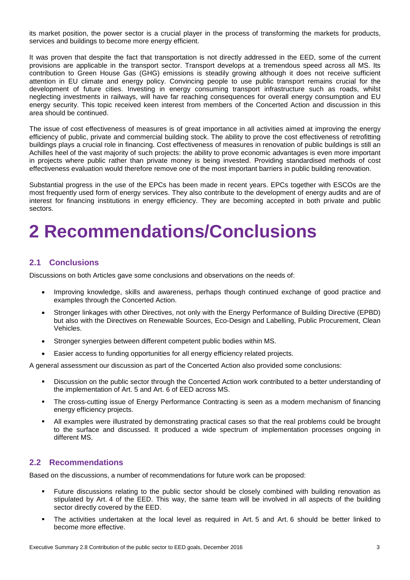its market position, the power sector is a crucial player in the process of transforming the markets for products, services and buildings to become more energy efficient.

It was proven that despite the fact that transportation is not directly addressed in the EED, some of the current provisions are applicable in the transport sector. Transport develops at a tremendous speed across all MS. Its contribution to Green House Gas (GHG) emissions is steadily growing although it does not receive sufficient attention in EU climate and energy policy. Convincing people to use public transport remains crucial for the development of future cities. Investing in energy consuming transport infrastructure such as roads, whilst neglecting investments in railways, will have far reaching consequences for overall energy consumption and EU energy security. This topic received keen interest from members of the Concerted Action and discussion in this area should be continued.

The issue of cost effectiveness of measures is of great importance in all activities aimed at improving the energy efficiency of public, private and commercial building stock. The ability to prove the cost effectiveness of retrofitting buildings plays a crucial role in financing. Cost effectiveness of measures in renovation of public buildings is still an Achilles heel of the vast majority of such projects: the ability to prove economic advantages is even more important in projects where public rather than private money is being invested. Providing standardised methods of cost effectiveness evaluation would therefore remove one of the most important barriers in public building renovation.

Substantial progress in the use of the EPCs has been made in recent years. EPCs together with ESCOs are the most frequently used form of energy services. They also contribute to the development of energy audits and are of interest for financing institutions in energy efficiency. They are becoming accepted in both private and public sectors.

# **2 Recommendations/Conclusions**

### **2.1 Conclusions**

Discussions on both Articles gave some conclusions and observations on the needs of:

- Improving knowledge, skills and awareness, perhaps though continued exchange of good practice and examples through the Concerted Action.
- Stronger linkages with other Directives, not only with the Energy Performance of Building Directive (EPBD) but also with the Directives on Renewable Sources, Eco-Design and Labelling, Public Procurement, Clean Vehicles.
- Stronger synergies between different competent public bodies within MS.
- Easier access to funding opportunities for all energy efficiency related projects.

A general assessment our discussion as part of the Concerted Action also provided some conclusions:

- Discussion on the public sector through the Concerted Action work contributed to a better understanding of the implementation of Art. 5 and Art. 6 of EED across MS.
- The cross-cutting issue of Energy Performance Contracting is seen as a modern mechanism of financing energy efficiency projects.
- All examples were illustrated by demonstrating practical cases so that the real problems could be brought to the surface and discussed. It produced a wide spectrum of implementation processes ongoing in different MS.

### **2.2 Recommendations**

Based on the discussions, a number of recommendations for future work can be proposed:

- Future discussions relating to the public sector should be closely combined with building renovation as stipulated by Art. 4 of the EED. This way, the same team will be involved in all aspects of the building sector directly covered by the EED.
- The activities undertaken at the local level as required in Art. 5 and Art. 6 should be better linked to become more effective.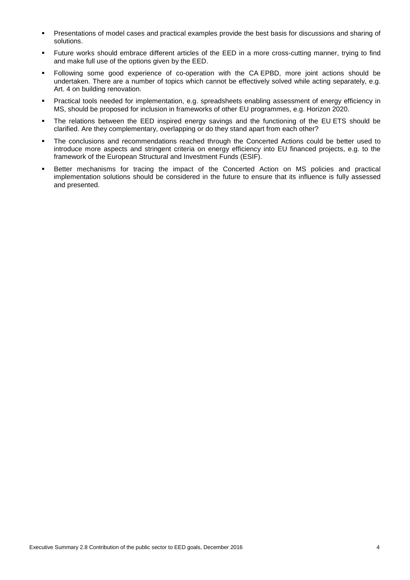- Presentations of model cases and practical examples provide the best basis for discussions and sharing of solutions.
- Future works should embrace different articles of the EED in a more cross-cutting manner, trying to find and make full use of the options given by the EED.
- Following some good experience of co-operation with the CA EPBD, more joint actions should be undertaken. There are a number of topics which cannot be effectively solved while acting separately, e.g. Art. 4 on building renovation.
- Practical tools needed for implementation, e.g. spreadsheets enabling assessment of energy efficiency in MS, should be proposed for inclusion in frameworks of other EU programmes, e.g. Horizon 2020.
- The relations between the EED inspired energy savings and the functioning of the EU ETS should be clarified. Are they complementary, overlapping or do they stand apart from each other?
- The conclusions and recommendations reached through the Concerted Actions could be better used to introduce more aspects and stringent criteria on energy efficiency into EU financed projects, e.g. to the framework of the European Structural and Investment Funds (ESIF).
- **Better mechanisms for tracing the impact of the Concerted Action on MS policies and practical** implementation solutions should be considered in the future to ensure that its influence is fully assessed and presented.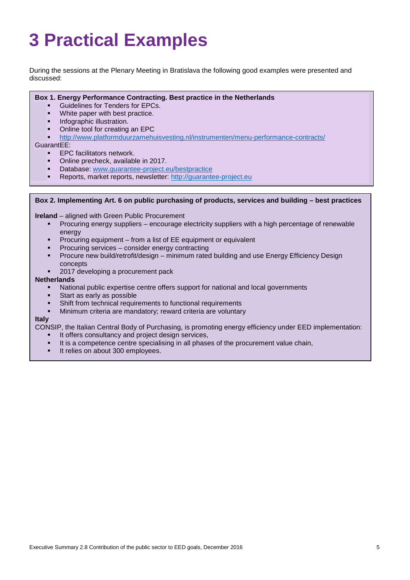# **3 Practical Examples**

During the sessions at the Plenary Meeting in Bratislava the following good examples were presented and discussed:

#### **Box 1. Energy Performance Contracting. Best practice in the Netherlands**

- Guidelines for Tenders for EPCs.
- **White paper with best practice.**
- **Infographic illustration.**
- Online tool for creating an EPC
- <http://www.platformduurzamehuisvesting.nl/instrumenten/menu-performance-contracts/>

#### GuarantEE:

- EPC facilitators network.
- Online precheck, available in 2017.
- Database: [www.guarantee-project.eu/bestpractice](http://www.guarantee-project.eu/bestpractice)
- Reports, market reports, newsletter: [http://guarantee-project.eu](http://guarantee-project.eu/)

#### **Box 2. Implementing Art. 6 on public purchasing of products, services and building – best practices**

**Ireland** – aligned with Green Public Procurement

- Procuring energy suppliers encourage electricity suppliers with a high percentage of renewable energy
- Procuring equipment from a list of EE equipment or equivalent
- Procuring services consider energy contracting
- Procure new build/retrofit/design minimum rated building and use Energy Efficiency Design concepts
- 2017 developing a procurement pack

#### **Netherlands**

- National public expertise centre offers support for national and local governments
- Start as early as possible
- Shift from technical requirements to functional requirements
- Minimum criteria are mandatory; reward criteria are voluntary

#### **Italy**

CONSIP, the Italian Central Body of Purchasing, is promoting energy efficiency under EED implementation:

- It offers consultancy and project design services,
- It is a competence centre specialising in all phases of the procurement value chain,
- It relies on about 300 employees.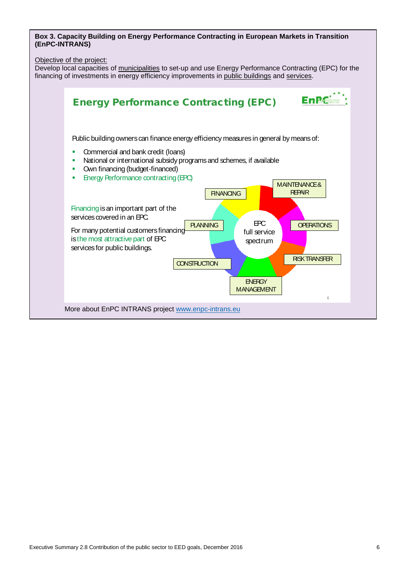**Box 3. Capacity Building on Energy Performance Contracting in European Markets in Transition (EnPC-INTRANS)** 

Objective of the project:

Develop local capacities of municipalities to set-up and use Energy Performance Contracting (EPC) for the financing of investments in energy efficiency improvements in public buildings and services.